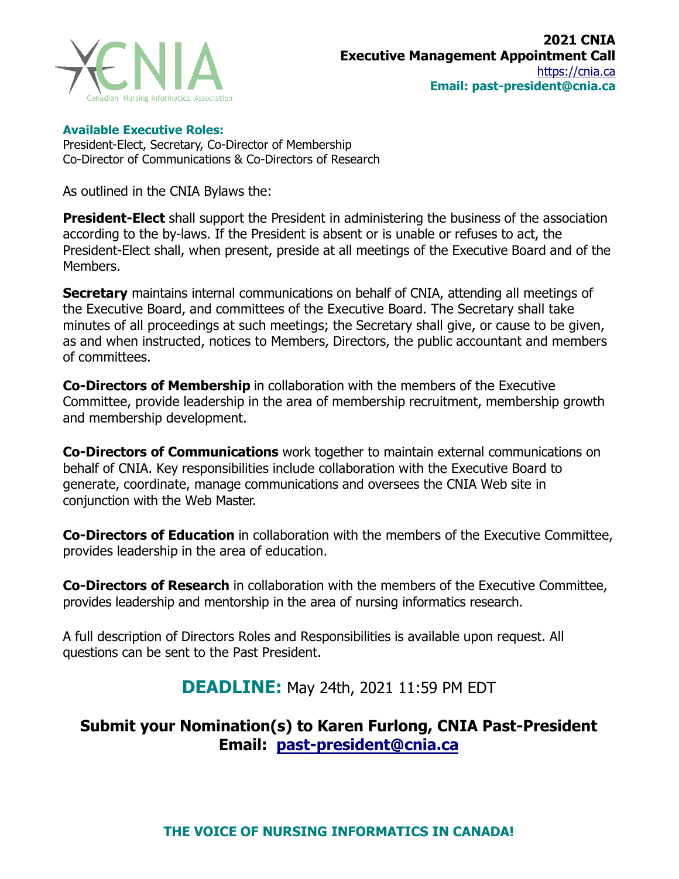

## **Available Executive Roles:**

President-Elect, Secretary, Co-Director of Membership Co-Director of Communications & Co-Directors of Research

As outlined in the CNIA Bylaws the:

**President-Elect** shall support the President in administering the business of the association according to the by-laws. If the President is absent or is unable or refuses to act, the President-Elect shall, when present, preside at all meetings of the Executive Board and of the Members.

**Secretary** maintains internal communications on behalf of CNIA, attending all meetings of the Executive Board, and committees of the Executive Board. The Secretary shall take minutes of all proceedings at such meetings; the Secretary shall give, or cause to be given, as and when instructed, notices to Members, Directors, the public accountant and members of committees.

**Co-Directors of Membership** in collaboration with the members of the Executive Committee, provide leadership in the area of membership recruitment, membership growth and membership development.

**Co-Directors of Communications** work together to maintain external communications on behalf of CNIA. Key responsibilities include collaboration with the Executive Board to generate, coordinate, manage communications and oversees the CNIA Web site in conjunction with the Web Master.

**Co-Directors of Education** in collaboration with the members of the Executive Committee, provides leadership in the area of education.

**Co-Directors of Research** in collaboration with the members of the Executive Committee, provides leadership and mentorship in the area of nursing informatics research.

A full description of Directors Roles and Responsibilities is available upon request. All questions can be sent to the Past President.

**DEADLINE:** May 24th, 2021 11:59 PM EDT

## **Submit your Nomination(s) to Karen [Furlong, CNI](mailto:past-president@cnia.ca)A Past-President Email: past-president@cnia.ca**